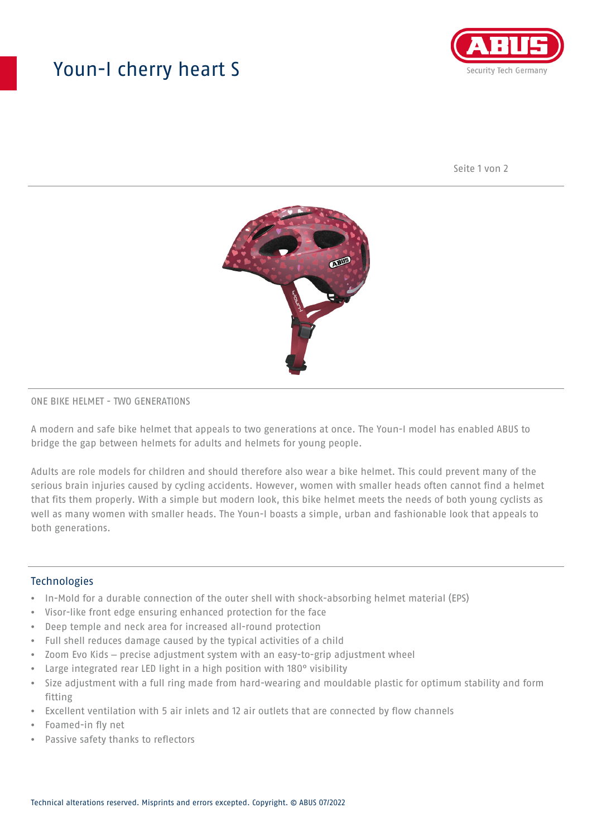# Youn-I cherry heart S



Seite 1 von 2



## ONE BIKE HELMET - TWO GENERATIONS

A modern and safe bike helmet that appeals to two generations at once. The Youn-I model has enabled ABUS to bridge the gap between helmets for adults and helmets for young people.

Adults are role models for children and should therefore also wear a bike helmet. This could prevent many of the serious brain injuries caused by cycling accidents. However, women with smaller heads often cannot find a helmet that fits them properly. With a simple but modern look, this bike helmet meets the needs of both young cyclists as well as many women with smaller heads. The Youn-I boasts a simple, urban and fashionable look that appeals to both generations.

## **Technologies**

- In-Mold for a durable connection of the outer shell with shock-absorbing helmet material (EPS)
- Visor-like front edge ensuring enhanced protection for the face
- Deep temple and neck area for increased all-round protection
- Full shell reduces damage caused by the typical activities of a child
- Zoom Evo Kids precise adjustment system with an easy-to-grip adjustment wheel
- Large integrated rear LED light in a high position with 180° visibility
- Size adjustment with a full ring made from hard-wearing and mouldable plastic for optimum stability and form fitting
- Excellent ventilation with 5 air inlets and 12 air outlets that are connected by flow channels
- Foamed-in fly net
- Passive safety thanks to reflectors